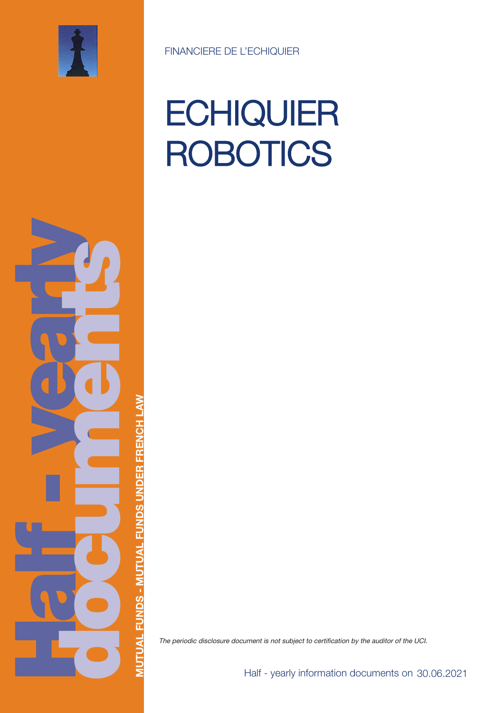

# **ECHIQUIER ROBOTICS**

**Half yea rly doc uments**

**MUTUA LFUNDS - M UTUA LFUNDSUNDERFRENCHLAW**

The periodic disclosure document is not subject to certification by the auditor of the UCI.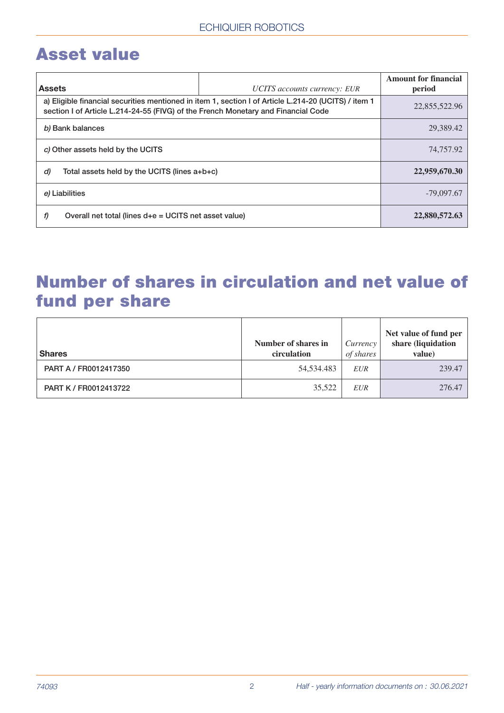# **Asset value**

| <b>Assets</b>                                                                                                                                                                             | UCITS accounts currency: EUR | <b>Amount for financial</b><br>period |
|-------------------------------------------------------------------------------------------------------------------------------------------------------------------------------------------|------------------------------|---------------------------------------|
| a) Eligible financial securities mentioned in item 1, section I of Article L.214-20 (UCITS) / item 1<br>section I of Article L.214-24-55 (FIVG) of the French Monetary and Financial Code |                              | 22,855,522.96                         |
| b) Bank balances                                                                                                                                                                          | 29,389.42                    |                                       |
| c) Other assets held by the UCITS                                                                                                                                                         |                              | 74,757.92                             |
| d)<br>Total assets held by the UCITS (lines $a+b+c$ )                                                                                                                                     | 22,959,670.30                |                                       |
| e) Liabilities                                                                                                                                                                            | $-79,097.67$                 |                                       |
| Overall net total (lines $d+e = UCITS$ net asset value)<br>f)                                                                                                                             |                              | 22,880,572.63                         |

# **Number of shares in circulation and net value of fund per share**

| <b>Shares</b>         | Number of shares in<br>circulation | Currency<br>of shares | Net value of fund per<br>share (liquidation<br>value) |
|-----------------------|------------------------------------|-----------------------|-------------------------------------------------------|
| PART A / FR0012417350 | 54,534.483                         | <b>EUR</b>            | 239.47                                                |
| PART K / FR0012413722 | 35,522                             | <b>EUR</b>            | 276.47                                                |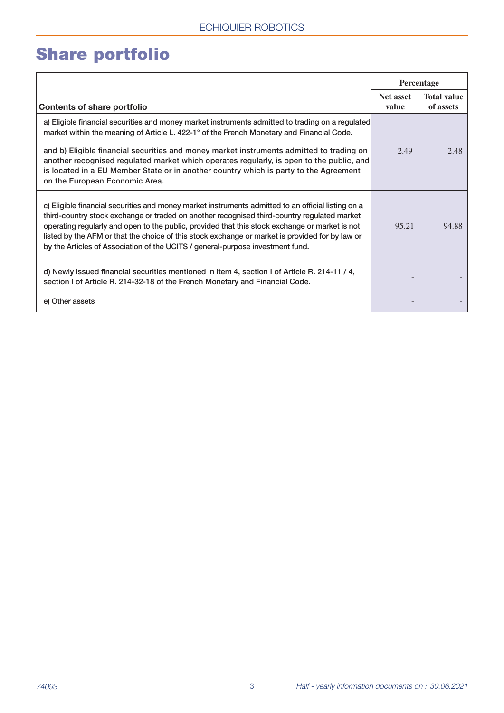# **Share portfolio**

|                                                                                                                                                                                                                                                                                                                                                                                                                                                                                                                  | Percentage         |                                 |
|------------------------------------------------------------------------------------------------------------------------------------------------------------------------------------------------------------------------------------------------------------------------------------------------------------------------------------------------------------------------------------------------------------------------------------------------------------------------------------------------------------------|--------------------|---------------------------------|
| <b>Contents of share portfolio</b>                                                                                                                                                                                                                                                                                                                                                                                                                                                                               | Net asset<br>value | <b>Total value</b><br>of assets |
| a) Eligible financial securities and money market instruments admitted to trading on a regulated<br>market within the meaning of Article L. 422-1° of the French Monetary and Financial Code.<br>and b) Eligible financial securities and money market instruments admitted to trading on<br>another recognised regulated market which operates regularly, is open to the public, and<br>is located in a EU Member State or in another country which is party to the Agreement<br>on the European Economic Area. | 2.49               | 2.48                            |
| c) Eligible financial securities and money market instruments admitted to an official listing on a<br>third-country stock exchange or traded on another recognised third-country regulated market<br>operating regularly and open to the public, provided that this stock exchange or market is not<br>listed by the AFM or that the choice of this stock exchange or market is provided for by law or<br>by the Articles of Association of the UCITS / general-purpose investment fund.                         | 95.21              | 94.88                           |
| d) Newly issued financial securities mentioned in item 4, section I of Article R. 214-11 / 4,<br>section I of Article R. 214-32-18 of the French Monetary and Financial Code.                                                                                                                                                                                                                                                                                                                                    |                    |                                 |
| e) Other assets                                                                                                                                                                                                                                                                                                                                                                                                                                                                                                  |                    |                                 |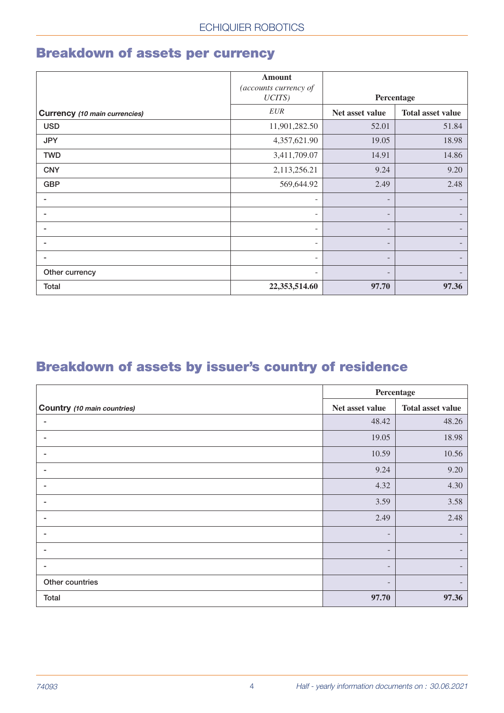#### **Breakdown of assets per currency**

|                                      | <b>Amount</b><br>(accounts currency of |                                             |                          |
|--------------------------------------|----------------------------------------|---------------------------------------------|--------------------------|
|                                      | $UCITS$ )                              | Percentage                                  |                          |
| <b>Currency</b> (10 main currencies) | <b>EUR</b>                             | Net asset value<br><b>Total asset value</b> |                          |
| <b>USD</b>                           | 11,901,282.50                          | 52.01                                       | 51.84                    |
| <b>JPY</b>                           | 4,357,621.90                           | 19.05                                       | 18.98                    |
| <b>TWD</b>                           | 3,411,709.07                           | 14.91                                       | 14.86                    |
| <b>CNY</b>                           | 2,113,256.21                           | 9.24                                        | 9.20                     |
| <b>GBP</b>                           | 569,644.92                             | 2.49                                        | 2.48                     |
|                                      | -                                      | -                                           |                          |
|                                      | $\overline{\phantom{a}}$               | $\overline{\phantom{a}}$                    | $\overline{\phantom{a}}$ |
|                                      | $\overline{\phantom{a}}$               | -                                           |                          |
|                                      | $\qquad \qquad$                        | -                                           | -                        |
|                                      | $\overline{\phantom{a}}$               | -                                           |                          |
| Other currency                       | $\overline{\phantom{a}}$               | -                                           |                          |
| Total                                | 22,353,514.60                          | 97.70                                       | 97.36                    |

#### **Breakdown of assets by issuer's country of residence**

|                                    | Percentage               |                          |  |
|------------------------------------|--------------------------|--------------------------|--|
| <b>Country</b> (10 main countries) | Net asset value          | <b>Total asset value</b> |  |
| ٠                                  | 48.42                    | 48.26                    |  |
|                                    | 19.05                    | 18.98                    |  |
|                                    | 10.59                    | 10.56                    |  |
|                                    | 9.24                     | 9.20                     |  |
|                                    | 4.32                     | 4.30                     |  |
|                                    | 3.59                     | 3.58                     |  |
|                                    | 2.49                     | 2.48                     |  |
| ۰                                  | $\overline{\phantom{a}}$ |                          |  |
|                                    | -                        |                          |  |
|                                    | $\overline{\phantom{0}}$ |                          |  |
| Other countries                    |                          |                          |  |
| <b>Total</b>                       | 97.70                    | 97.36                    |  |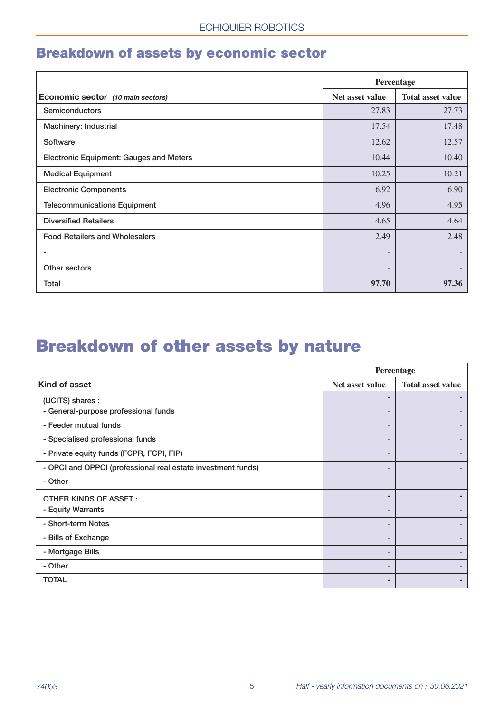#### **Breakdown of assets by economic sector**

|                                                | Percentage      |                          |  |
|------------------------------------------------|-----------------|--------------------------|--|
| Economic sector (10 main sectors)              | Net asset value | <b>Total asset value</b> |  |
| <b>Semiconductors</b>                          | 27.83           | 27.73                    |  |
| Machinery: Industrial                          | 17.54           | 17.48                    |  |
| Software                                       | 12.62           | 12.57                    |  |
| <b>Electronic Equipment: Gauges and Meters</b> | 10.44           | 10.40                    |  |
| <b>Medical Equipment</b>                       | 10.25           | 10.21                    |  |
| <b>Electronic Components</b>                   | 6.92            | 6.90                     |  |
| <b>Telecommunications Equipment</b>            | 4.96            | 4.95                     |  |
| <b>Diversified Retailers</b>                   | 4.65            | 4.64                     |  |
| <b>Food Retailers and Wholesalers</b>          | 2.49            | 2.48                     |  |
|                                                | -               |                          |  |
| Other sectors                                  |                 |                          |  |
| Total                                          | 97.70           | 97.36                    |  |

# **Breakdown of other assets by nature**

|                                                              | Percentage               |                          |  |
|--------------------------------------------------------------|--------------------------|--------------------------|--|
| Kind of asset                                                | Net asset value          | <b>Total asset value</b> |  |
| (UCITS) shares :                                             | ٠                        |                          |  |
| - General-purpose professional funds                         |                          |                          |  |
| - Feeder mutual funds                                        |                          |                          |  |
| - Specialised professional funds                             |                          |                          |  |
| - Private equity funds (FCPR, FCPI, FIP)                     | $\overline{\phantom{0}}$ |                          |  |
| - OPCI and OPPCI (professional real estate investment funds) |                          |                          |  |
| - Other                                                      |                          |                          |  |
| <b>OTHER KINDS OF ASSET:</b>                                 |                          |                          |  |
| - Equity Warrants                                            |                          |                          |  |
| - Short-term Notes                                           |                          |                          |  |
| - Bills of Exchange                                          | $\overline{\phantom{0}}$ |                          |  |
| - Mortgage Bills                                             | $\overline{\phantom{0}}$ |                          |  |
| - Other                                                      |                          |                          |  |
| <b>TOTAL</b>                                                 |                          |                          |  |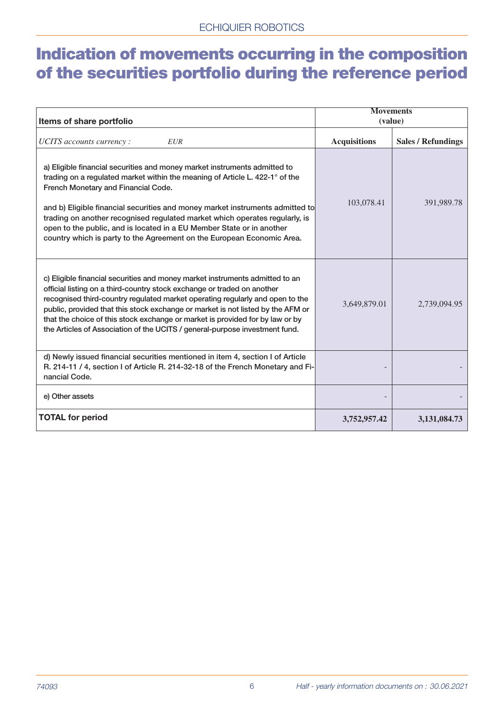# **Indication of movements occurring in the composition of the securities portfolio during the reference period**

| Items of share portfolio                                                                                                                                                                                                                                                                                                                                                                                                                                                                                            | <b>Movements</b><br>(value) |                           |
|---------------------------------------------------------------------------------------------------------------------------------------------------------------------------------------------------------------------------------------------------------------------------------------------------------------------------------------------------------------------------------------------------------------------------------------------------------------------------------------------------------------------|-----------------------------|---------------------------|
| UCITS accounts currency :<br><b>EUR</b>                                                                                                                                                                                                                                                                                                                                                                                                                                                                             | <b>Acquisitions</b>         | <b>Sales / Refundings</b> |
| a) Eligible financial securities and money market instruments admitted to<br>trading on a regulated market within the meaning of Article L. 422-1° of the<br>French Monetary and Financial Code.<br>and b) Eligible financial securities and money market instruments admitted to<br>trading on another recognised regulated market which operates regularly, is<br>open to the public, and is located in a EU Member State or in another<br>country which is party to the Agreement on the European Economic Area. | 103,078.41                  | 391,989.78                |
| c) Eligible financial securities and money market instruments admitted to an<br>official listing on a third-country stock exchange or traded on another<br>recognised third-country regulated market operating regularly and open to the<br>public, provided that this stock exchange or market is not listed by the AFM or<br>that the choice of this stock exchange or market is provided for by law or by<br>the Articles of Association of the UCITS / general-purpose investment fund.                         | 3,649,879.01                | 2,739,094.95              |
| d) Newly issued financial securities mentioned in item 4, section I of Article<br>R. 214-11 / 4, section I of Article R. 214-32-18 of the French Monetary and Fi-<br>nancial Code.                                                                                                                                                                                                                                                                                                                                  |                             |                           |
| e) Other assets                                                                                                                                                                                                                                                                                                                                                                                                                                                                                                     |                             |                           |
| <b>TOTAL for period</b>                                                                                                                                                                                                                                                                                                                                                                                                                                                                                             | 3,752,957.42                | 3,131,084.73              |